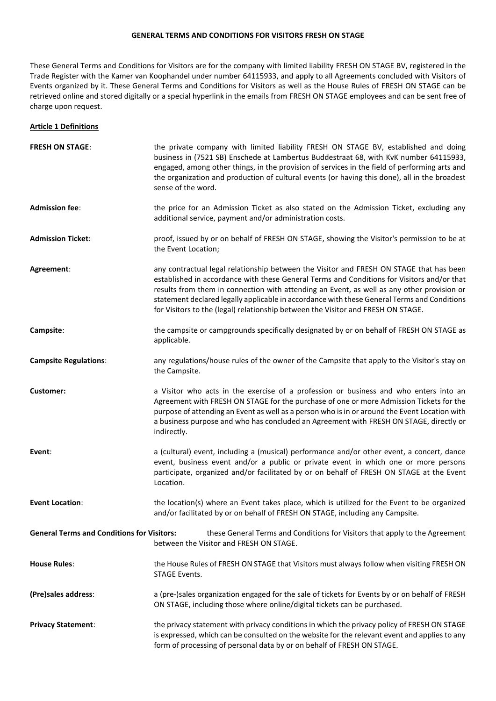#### **GENERAL TERMS AND CONDITIONS FOR VISITORS FRESH ON STAGE**

These General Terms and Conditions for Visitors are for the company with limited liability FRESH ON STAGE BV, registered in the Trade Register with the Kamer van Koophandel under number 64115933, and apply to all Agreements concluded with Visitors of Events organized by it. These General Terms and Conditions for Visitors as well as the House Rules of FRESH ON STAGE can be retrieved online and stored digitally or a special hyperlink in the emails from FRESH ON STAGE employees and can be sent free of charge upon request.

#### **Article 1 Definitions**

| <b>FRESH ON STAGE:</b>                            | the private company with limited liability FRESH ON STAGE BV, established and doing<br>business in (7521 SB) Enschede at Lambertus Buddestraat 68, with KvK number 64115933,<br>engaged, among other things, in the provision of services in the field of performing arts and<br>the organization and production of cultural events (or having this done), all in the broadest<br>sense of the word.                                                                   |
|---------------------------------------------------|------------------------------------------------------------------------------------------------------------------------------------------------------------------------------------------------------------------------------------------------------------------------------------------------------------------------------------------------------------------------------------------------------------------------------------------------------------------------|
| <b>Admission fee:</b>                             | the price for an Admission Ticket as also stated on the Admission Ticket, excluding any<br>additional service, payment and/or administration costs.                                                                                                                                                                                                                                                                                                                    |
| <b>Admission Ticket:</b>                          | proof, issued by or on behalf of FRESH ON STAGE, showing the Visitor's permission to be at<br>the Event Location;                                                                                                                                                                                                                                                                                                                                                      |
| Agreement:                                        | any contractual legal relationship between the Visitor and FRESH ON STAGE that has been<br>established in accordance with these General Terms and Conditions for Visitors and/or that<br>results from them in connection with attending an Event, as well as any other provision or<br>statement declared legally applicable in accordance with these General Terms and Conditions<br>for Visitors to the (legal) relationship between the Visitor and FRESH ON STAGE. |
| Campsite:                                         | the campsite or campgrounds specifically designated by or on behalf of FRESH ON STAGE as<br>applicable.                                                                                                                                                                                                                                                                                                                                                                |
| <b>Campsite Regulations:</b>                      | any regulations/house rules of the owner of the Campsite that apply to the Visitor's stay on<br>the Campsite.                                                                                                                                                                                                                                                                                                                                                          |
| <b>Customer:</b>                                  | a Visitor who acts in the exercise of a profession or business and who enters into an<br>Agreement with FRESH ON STAGE for the purchase of one or more Admission Tickets for the<br>purpose of attending an Event as well as a person who is in or around the Event Location with<br>a business purpose and who has concluded an Agreement with FRESH ON STAGE, directly or<br>indirectly.                                                                             |
| Event:                                            | a (cultural) event, including a (musical) performance and/or other event, a concert, dance<br>event, business event and/or a public or private event in which one or more persons<br>participate, organized and/or facilitated by or on behalf of FRESH ON STAGE at the Event<br>Location.                                                                                                                                                                             |
| <b>Event Location:</b>                            | the location(s) where an Event takes place, which is utilized for the Event to be organized<br>and/or facilitated by or on behalf of FRESH ON STAGE, including any Campsite.                                                                                                                                                                                                                                                                                           |
| <b>General Terms and Conditions for Visitors:</b> | these General Terms and Conditions for Visitors that apply to the Agreement<br>between the Visitor and FRESH ON STAGE.                                                                                                                                                                                                                                                                                                                                                 |
| <b>House Rules:</b>                               | the House Rules of FRESH ON STAGE that Visitors must always follow when visiting FRESH ON<br><b>STAGE Events.</b>                                                                                                                                                                                                                                                                                                                                                      |
| (Pre)sales address:                               | a (pre-)sales organization engaged for the sale of tickets for Events by or on behalf of FRESH<br>ON STAGE, including those where online/digital tickets can be purchased.                                                                                                                                                                                                                                                                                             |
| <b>Privacy Statement:</b>                         | the privacy statement with privacy conditions in which the privacy policy of FRESH ON STAGE<br>is expressed, which can be consulted on the website for the relevant event and applies to any<br>form of processing of personal data by or on behalf of FRESH ON STAGE.                                                                                                                                                                                                 |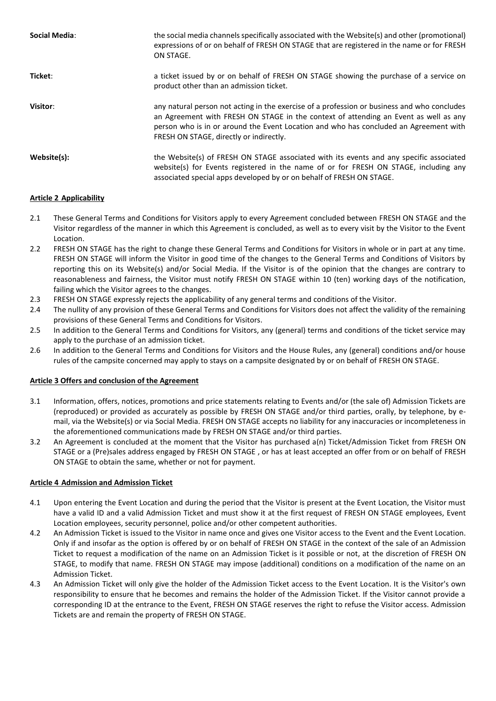| Social Media: | the social media channels specifically associated with the Website(s) and other (promotional)<br>expressions of or on behalf of FRESH ON STAGE that are registered in the name or for FRESH<br>ON STAGE.                                                                                                                |
|---------------|-------------------------------------------------------------------------------------------------------------------------------------------------------------------------------------------------------------------------------------------------------------------------------------------------------------------------|
| Ticket:       | a ticket issued by or on behalf of FRESH ON STAGE showing the purchase of a service on<br>product other than an admission ticket.                                                                                                                                                                                       |
| Visitor:      | any natural person not acting in the exercise of a profession or business and who concludes<br>an Agreement with FRESH ON STAGE in the context of attending an Event as well as any<br>person who is in or around the Event Location and who has concluded an Agreement with<br>FRESH ON STAGE, directly or indirectly. |
| Website(s):   | the Website(s) of FRESH ON STAGE associated with its events and any specific associated<br>website(s) for Events registered in the name of or for FRESH ON STAGE, including any<br>associated special apps developed by or on behalf of FRESH ON STAGE.                                                                 |

# **Article 2 Applicability**

- 2.1 These General Terms and Conditions for Visitors apply to every Agreement concluded between FRESH ON STAGE and the Visitor regardless of the manner in which this Agreement is concluded, as well as to every visit by the Visitor to the Event Location.
- 2.2 FRESH ON STAGE has the right to change these General Terms and Conditions for Visitors in whole or in part at any time. FRESH ON STAGE will inform the Visitor in good time of the changes to the General Terms and Conditions of Visitors by reporting this on its Website(s) and/or Social Media. If the Visitor is of the opinion that the changes are contrary to reasonableness and fairness, the Visitor must notify FRESH ON STAGE within 10 (ten) working days of the notification, failing which the Visitor agrees to the changes.
- 2.3 FRESH ON STAGE expressly rejects the applicability of any general terms and conditions of the Visitor.
- 2.4 The nullity of any provision of these General Terms and Conditions for Visitors does not affect the validity of the remaining provisions of these General Terms and Conditions for Visitors.
- 2.5 In addition to the General Terms and Conditions for Visitors, any (general) terms and conditions of the ticket service may apply to the purchase of an admission ticket.
- 2.6 In addition to the General Terms and Conditions for Visitors and the House Rules, any (general) conditions and/or house rules of the campsite concerned may apply to stays on a campsite designated by or on behalf of FRESH ON STAGE.

### **Article 3 Offers and conclusion of the Agreement**

- 3.1 Information, offers, notices, promotions and price statements relating to Events and/or (the sale of) Admission Tickets are (reproduced) or provided as accurately as possible by FRESH ON STAGE and/or third parties, orally, by telephone, by email, via the Website(s) or via Social Media. FRESH ON STAGE accepts no liability for any inaccuracies or incompleteness in the aforementioned communications made by FRESH ON STAGE and/or third parties.
- 3.2 An Agreement is concluded at the moment that the Visitor has purchased a(n) Ticket/Admission Ticket from FRESH ON STAGE or a (Pre)sales address engaged by FRESH ON STAGE , or has at least accepted an offer from or on behalf of FRESH ON STAGE to obtain the same, whether or not for payment.

### **Article 4 Admission and Admission Ticket**

- 4.1 Upon entering the Event Location and during the period that the Visitor is present at the Event Location, the Visitor must have a valid ID and a valid Admission Ticket and must show it at the first request of FRESH ON STAGE employees, Event Location employees, security personnel, police and/or other competent authorities.
- 4.2 An Admission Ticket is issued to the Visitor in name once and gives one Visitor access to the Event and the Event Location. Only if and insofar as the option is offered by or on behalf of FRESH ON STAGE in the context of the sale of an Admission Ticket to request a modification of the name on an Admission Ticket is it possible or not, at the discretion of FRESH ON STAGE, to modify that name. FRESH ON STAGE may impose (additional) conditions on a modification of the name on an Admission Ticket.
- 4.3 An Admission Ticket will only give the holder of the Admission Ticket access to the Event Location. It is the Visitor's own responsibility to ensure that he becomes and remains the holder of the Admission Ticket. If the Visitor cannot provide a corresponding ID at the entrance to the Event, FRESH ON STAGE reserves the right to refuse the Visitor access. Admission Tickets are and remain the property of FRESH ON STAGE.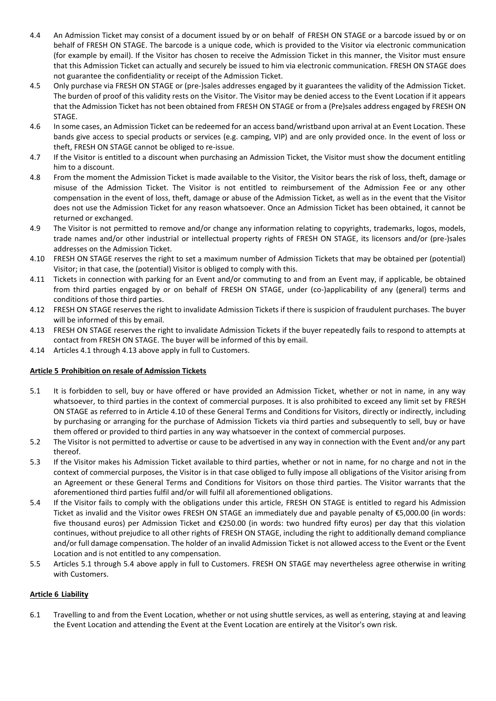- 4.4 An Admission Ticket may consist of a document issued by or on behalf of FRESH ON STAGE or a barcode issued by or on behalf of FRESH ON STAGE. The barcode is a unique code, which is provided to the Visitor via electronic communication (for example by email). If the Visitor has chosen to receive the Admission Ticket in this manner, the Visitor must ensure that this Admission Ticket can actually and securely be issued to him via electronic communication. FRESH ON STAGE does not guarantee the confidentiality or receipt of the Admission Ticket.
- 4.5 Only purchase via FRESH ON STAGE or (pre-)sales addresses engaged by it guarantees the validity of the Admission Ticket. The burden of proof of this validity rests on the Visitor. The Visitor may be denied access to the Event Location if it appears that the Admission Ticket has not been obtained from FRESH ON STAGE or from a (Pre)sales address engaged by FRESH ON STAGE.
- 4.6 In some cases, an Admission Ticket can be redeemed for an access band/wristband upon arrival at an Event Location. These bands give access to special products or services (e.g. camping, VIP) and are only provided once. In the event of loss or theft, FRESH ON STAGE cannot be obliged to re-issue.
- 4.7 If the Visitor is entitled to a discount when purchasing an Admission Ticket, the Visitor must show the document entitling him to a discount.
- 4.8 From the moment the Admission Ticket is made available to the Visitor, the Visitor bears the risk of loss, theft, damage or misuse of the Admission Ticket. The Visitor is not entitled to reimbursement of the Admission Fee or any other compensation in the event of loss, theft, damage or abuse of the Admission Ticket, as well as in the event that the Visitor does not use the Admission Ticket for any reason whatsoever. Once an Admission Ticket has been obtained, it cannot be returned or exchanged.
- 4.9 The Visitor is not permitted to remove and/or change any information relating to copyrights, trademarks, logos, models, trade names and/or other industrial or intellectual property rights of FRESH ON STAGE, its licensors and/or (pre-)sales addresses on the Admission Ticket.
- 4.10 FRESH ON STAGE reserves the right to set a maximum number of Admission Tickets that may be obtained per (potential) Visitor; in that case, the (potential) Visitor is obliged to comply with this.
- 4.11 Tickets in connection with parking for an Event and/or commuting to and from an Event may, if applicable, be obtained from third parties engaged by or on behalf of FRESH ON STAGE, under (co-)applicability of any (general) terms and conditions of those third parties.
- 4.12 FRESH ON STAGE reserves the right to invalidate Admission Tickets if there is suspicion of fraudulent purchases. The buyer will be informed of this by email.
- 4.13 FRESH ON STAGE reserves the right to invalidate Admission Tickets if the buyer repeatedly fails to respond to attempts at contact from FRESH ON STAGE. The buyer will be informed of this by email.
- 4.14 Articles 4.1 through 4.13 above apply in full to Customers.

# **Article 5 Prohibition on resale of Admission Tickets**

- 5.1 It is forbidden to sell, buy or have offered or have provided an Admission Ticket, whether or not in name, in any way whatsoever, to third parties in the context of commercial purposes. It is also prohibited to exceed any limit set by FRESH ON STAGE as referred to in Article 4.10 of these General Terms and Conditions for Visitors, directly or indirectly, including by purchasing or arranging for the purchase of Admission Tickets via third parties and subsequently to sell, buy or have them offered or provided to third parties in any way whatsoever in the context of commercial purposes.
- 5.2 The Visitor is not permitted to advertise or cause to be advertised in any way in connection with the Event and/or any part thereof.
- 5.3 If the Visitor makes his Admission Ticket available to third parties, whether or not in name, for no charge and not in the context of commercial purposes, the Visitor is in that case obliged to fully impose all obligations of the Visitor arising from an Agreement or these General Terms and Conditions for Visitors on those third parties. The Visitor warrants that the aforementioned third parties fulfil and/or will fulfil all aforementioned obligations.
- 5.4 If the Visitor fails to comply with the obligations under this article, FRESH ON STAGE is entitled to regard his Admission Ticket as invalid and the Visitor owes FRESH ON STAGE an immediately due and payable penalty of €5,000.00 (in words: five thousand euros) per Admission Ticket and €250.00 (in words: two hundred fifty euros) per day that this violation continues, without prejudice to all other rights of FRESH ON STAGE, including the right to additionally demand compliance and/or full damage compensation. The holder of an invalid Admission Ticket is not allowed access to the Event or the Event Location and is not entitled to any compensation.
- 5.5 Articles 5.1 through 5.4 above apply in full to Customers. FRESH ON STAGE may nevertheless agree otherwise in writing with Customers.

### **Article 6 Liability**

6.1 Travelling to and from the Event Location, whether or not using shuttle services, as well as entering, staying at and leaving the Event Location and attending the Event at the Event Location are entirely at the Visitor's own risk.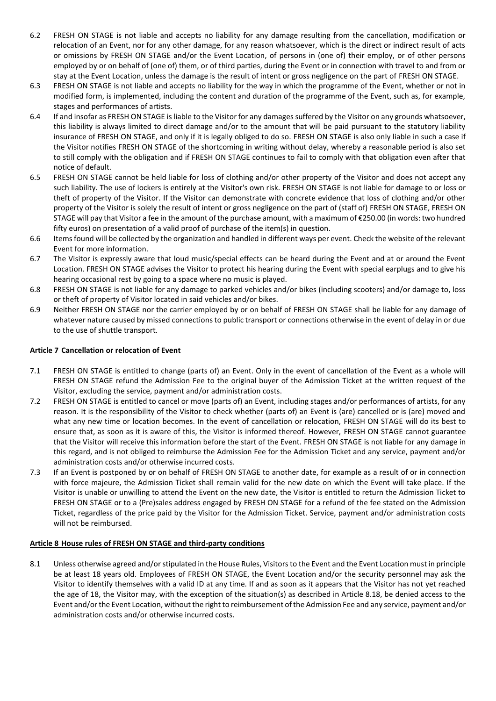- 6.2 FRESH ON STAGE is not liable and accepts no liability for any damage resulting from the cancellation, modification or relocation of an Event, nor for any other damage, for any reason whatsoever, which is the direct or indirect result of acts or omissions by FRESH ON STAGE and/or the Event Location, of persons in (one of) their employ, or of other persons employed by or on behalf of (one of) them, or of third parties, during the Event or in connection with travel to and from or stay at the Event Location, unless the damage is the result of intent or gross negligence on the part of FRESH ON STAGE.
- 6.3 FRESH ON STAGE is not liable and accepts no liability for the way in which the programme of the Event, whether or not in modified form, is implemented, including the content and duration of the programme of the Event, such as, for example, stages and performances of artists.
- 6.4 If and insofar as FRESH ON STAGE is liable to the Visitor for any damages suffered by the Visitor on any grounds whatsoever, this liability is always limited to direct damage and/or to the amount that will be paid pursuant to the statutory liability insurance of FRESH ON STAGE, and only if it is legally obliged to do so. FRESH ON STAGE is also only liable in such a case if the Visitor notifies FRESH ON STAGE of the shortcoming in writing without delay, whereby a reasonable period is also set to still comply with the obligation and if FRESH ON STAGE continues to fail to comply with that obligation even after that notice of default.
- 6.5 FRESH ON STAGE cannot be held liable for loss of clothing and/or other property of the Visitor and does not accept any such liability. The use of lockers is entirely at the Visitor's own risk. FRESH ON STAGE is not liable for damage to or loss or theft of property of the Visitor. If the Visitor can demonstrate with concrete evidence that loss of clothing and/or other property of the Visitor is solely the result of intent or gross negligence on the part of (staff of) FRESH ON STAGE, FRESH ON STAGE will pay that Visitor a fee in the amount of the purchase amount, with a maximum of €250.00 (in words: two hundred fifty euros) on presentation of a valid proof of purchase of the item(s) in question.
- 6.6 Items found will be collected by the organization and handled in different ways per event. Check the website of the relevant Event for more information.
- 6.7 The Visitor is expressly aware that loud music/special effects can be heard during the Event and at or around the Event Location. FRESH ON STAGE advises the Visitor to protect his hearing during the Event with special earplugs and to give his hearing occasional rest by going to a space where no music is played.
- 6.8 FRESH ON STAGE is not liable for any damage to parked vehicles and/or bikes (including scooters) and/or damage to, loss or theft of property of Visitor located in said vehicles and/or bikes.
- 6.9 Neither FRESH ON STAGE nor the carrier employed by or on behalf of FRESH ON STAGE shall be liable for any damage of whatever nature caused by missed connections to public transport or connections otherwise in the event of delay in or due to the use of shuttle transport.

## **Article 7 Cancellation or relocation of Event**

- 7.1 FRESH ON STAGE is entitled to change (parts of) an Event. Only in the event of cancellation of the Event as a whole will FRESH ON STAGE refund the Admission Fee to the original buyer of the Admission Ticket at the written request of the Visitor, excluding the service, payment and/or administration costs.
- 7.2 FRESH ON STAGE is entitled to cancel or move (parts of) an Event, including stages and/or performances of artists, for any reason. It is the responsibility of the Visitor to check whether (parts of) an Event is (are) cancelled or is (are) moved and what any new time or location becomes. In the event of cancellation or relocation, FRESH ON STAGE will do its best to ensure that, as soon as it is aware of this, the Visitor is informed thereof. However, FRESH ON STAGE cannot guarantee that the Visitor will receive this information before the start of the Event. FRESH ON STAGE is not liable for any damage in this regard, and is not obliged to reimburse the Admission Fee for the Admission Ticket and any service, payment and/or administration costs and/or otherwise incurred costs.
- 7.3 If an Event is postponed by or on behalf of FRESH ON STAGE to another date, for example as a result of or in connection with force majeure, the Admission Ticket shall remain valid for the new date on which the Event will take place. If the Visitor is unable or unwilling to attend the Event on the new date, the Visitor is entitled to return the Admission Ticket to FRESH ON STAGE or to a (Pre)sales address engaged by FRESH ON STAGE for a refund of the fee stated on the Admission Ticket, regardless of the price paid by the Visitor for the Admission Ticket. Service, payment and/or administration costs will not be reimbursed.

### **Article 8 House rules of FRESH ON STAGE and third-party conditions**

8.1 Unless otherwise agreed and/or stipulated in the House Rules, Visitors to the Event and the Event Location must in principle be at least 18 years old. Employees of FRESH ON STAGE, the Event Location and/or the security personnel may ask the Visitor to identify themselves with a valid ID at any time. If and as soon as it appears that the Visitor has not yet reached the age of 18, the Visitor may, with the exception of the situation(s) as described in Article 8.18, be denied access to the Event and/or the Event Location, without the right to reimbursement of the Admission Fee and any service, payment and/or administration costs and/or otherwise incurred costs.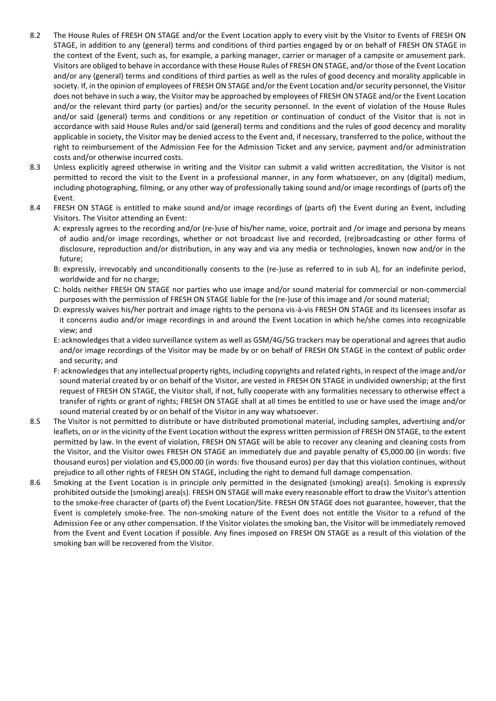- 8.2 The House Rules of FRESH ON STAGE and/or the Event Location apply to every visit by the Visitor to Events of FRESH ON STAGE, in addition to any (general) terms and conditions of third parties engaged by or on behalf of FRESH ON STAGE in the context of the Event, such as, for example, a parking manager, carrier or manager of a campsite or amusement park. Visitors are obliged to behave in accordance with these House Rules of FRESH ON STAGE, and/or those of the Event Location and/or any (general) terms and conditions of third parties as well as the rules of good decency and morality applicable in society. If, in the opinion of employees of FRESH ON STAGE and/or the Event Location and/or security personnel, the Visitor does not behave in such a way, the Visitor may be approached by employees of FRESH ON STAGE and/or the Event Location and/or the relevant third party (or parties) and/or the security personnel. In the event of violation of the House Rules and/or said (general) terms and conditions or any repetition or continuation of conduct of the Visitor that is not in accordance with said House Rules and/or said (general) terms and conditions and the rules of good decency and morality applicable in society, the Visitor may be denied access to the Event and, if necessary, transferred to the police, without the right to reimbursement of the Admission Fee for the Admission Ticket and any service, payment and/or administration costs and/or otherwise incurred costs.
- 8.3 Unless explicitly agreed otherwise in writing and the Visitor can submit a valid written accreditation, the Visitor is not permitted to record the visit to the Event in a professional manner, in any form whatsoever, on any (digital) medium, including photographing, filming, or any other way of professionally taking sound and/or image recordings of (parts of) the Event.
- 8.4 FRESH ON STAGE is entitled to make sound and/or image recordings of (parts of) the Event during an Event, including Visitors. The Visitor attending an Event:

A: expressly agrees to the recording and/or (re-)use of his/her name, voice, portrait and /or image and persona by means of audio and/or image recordings, whether or not broadcast live and recorded, (re)broadcasting or other forms of disclosure, reproduction and/or distribution, in any way and via any media or technologies, known now and/or in the future;

- B: expressly, irrevocably and unconditionally consents to the (re-)use as referred to in sub A), for an indefinite period, worldwide and for no charge;
- C: holds neither FRESH ON STAGE nor parties who use image and/or sound material for commercial or non-commercial purposes with the permission of FRESH ON STAGE liable for the (re-)use of this image and /or sound material;
- D: expressly waives his/her portrait and image rights to the persona vis-à-vis FRESH ON STAGE and its licensees insofar as it concerns audio and/or image recordings in and around the Event Location in which he/she comes into recognizable view; and
- E: acknowledges that a video surveillance system as well as GSM/4G/5G trackers may be operational and agrees that audio and/or image recordings of the Visitor may be made by or on behalf of FRESH ON STAGE in the context of public order and security; and
- F: acknowledges that any intellectual property rights, including copyrights and related rights, in respect of the image and/or sound material created by or on behalf of the Visitor, are vested in FRESH ON STAGE in undivided ownership; at the first request of FRESH ON STAGE, the Visitor shall, if not, fully cooperate with any formalities necessary to otherwise effect a transfer of rights or grant of rights; FRESH ON STAGE shall at all times be entitled to use or have used the image and/or sound material created by or on behalf of the Visitor in any way whatsoever.
- 8.5 The Visitor is not permitted to distribute or have distributed promotional material, including samples, advertising and/or leaflets, on or in the vicinity of the Event Location without the express written permission of FRESH ON STAGE, to the extent permitted by law. In the event of violation, FRESH ON STAGE will be able to recover any cleaning and cleaning costs from the Visitor, and the Visitor owes FRESH ON STAGE an immediately due and payable penalty of €5,000.00 (in words: five thousand euros) per violation and €5,000.00 (in words: five thousand euros) per day that this violation continues, without prejudice to all other rights of FRESH ON STAGE, including the right to demand full damage compensation.
- 8.6 Smoking at the Event Location is in principle only permitted in the designated (smoking) area(s). Smoking is expressly prohibited outside the (smoking) area(s). FRESH ON STAGE will make every reasonable effort to draw the Visitor's attention to the smoke-free character of (parts of) the Event Location/Site. FRESH ON STAGE does not guarantee, however, that the Event is completely smoke-free. The non-smoking nature of the Event does not entitle the Visitor to a refund of the Admission Fee or any other compensation. If the Visitor violates the smoking ban, the Visitor will be immediately removed from the Event and Event Location if possible. Any fines imposed on FRESH ON STAGE as a result of this violation of the smoking ban will be recovered from the Visitor.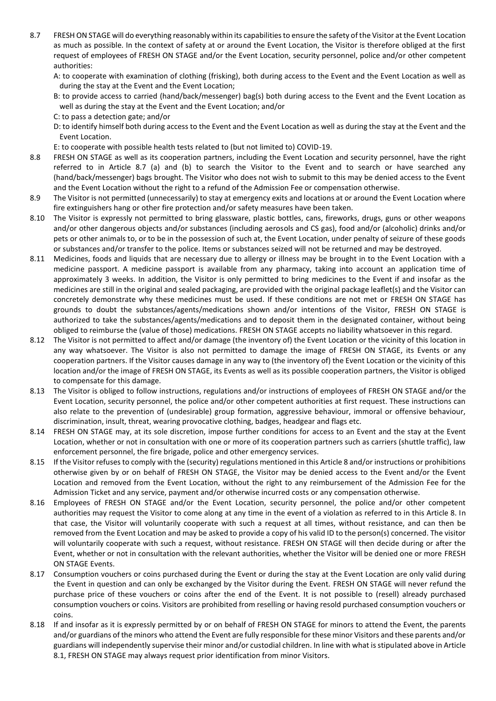- 8.7 FRESH ON STAGE will do everything reasonably within its capabilities to ensure the safety of the Visitor at the Event Location as much as possible. In the context of safety at or around the Event Location, the Visitor is therefore obliged at the first request of employees of FRESH ON STAGE and/or the Event Location, security personnel, police and/or other competent authorities:
	- A: to cooperate with examination of clothing (frisking), both during access to the Event and the Event Location as well as during the stay at the Event and the Event Location;
	- B: to provide access to carried (hand/back/messenger) bag(s) both during access to the Event and the Event Location as well as during the stay at the Event and the Event Location; and/or
	- C: to pass a detection gate; and/or
	- D: to identify himself both during access to the Event and the Event Location as well as during the stay at the Event and the Event Location.
	- E: to cooperate with possible health tests related to (but not limited to) COVID-19.
- 8.8 FRESH ON STAGE as well as its cooperation partners, including the Event Location and security personnel, have the right referred to in Article 8.7 (a) and (b) to search the Visitor to the Event and to search or have searched any (hand/back/messenger) bags brought. The Visitor who does not wish to submit to this may be denied access to the Event and the Event Location without the right to a refund of the Admission Fee or compensation otherwise.
- 8.9 The Visitor is not permitted (unnecessarily) to stay at emergency exits and locations at or around the Event Location where fire extinguishers hang or other fire protection and/or safety measures have been taken.
- 8.10 The Visitor is expressly not permitted to bring glassware, plastic bottles, cans, fireworks, drugs, guns or other weapons and/or other dangerous objects and/or substances (including aerosols and CS gas), food and/or (alcoholic) drinks and/or pets or other animals to, or to be in the possession of such at, the Event Location, under penalty of seizure of these goods or substances and/or transfer to the police. Items or substances seized will not be returned and may be destroyed.
- 8.11 Medicines, foods and liquids that are necessary due to allergy or illness may be brought in to the Event Location with a medicine passport. A medicine passport is available from any pharmacy, taking into account an application time of approximately 3 weeks. In addition, the Visitor is only permitted to bring medicines to the Event if and insofar as the medicines are still in the original and sealed packaging, are provided with the original package leaflet(s) and the Visitor can concretely demonstrate why these medicines must be used. If these conditions are not met or FRESH ON STAGE has grounds to doubt the substances/agents/medications shown and/or intentions of the Visitor, FRESH ON STAGE is authorized to take the substances/agents/medications and to deposit them in the designated container, without being obliged to reimburse the (value of those) medications. FRESH ON STAGE accepts no liability whatsoever in this regard.
- 8.12 The Visitor is not permitted to affect and/or damage (the inventory of) the Event Location or the vicinity of this location in any way whatsoever. The Visitor is also not permitted to damage the image of FRESH ON STAGE, its Events or any cooperation partners. If the Visitor causes damage in any way to (the inventory of) the Event Location or the vicinity of this location and/or the image of FRESH ON STAGE, its Events as well as its possible cooperation partners, the Visitor is obliged to compensate for this damage.
- 8.13 The Visitor is obliged to follow instructions, regulations and/or instructions of employees of FRESH ON STAGE and/or the Event Location, security personnel, the police and/or other competent authorities at first request. These instructions can also relate to the prevention of (undesirable) group formation, aggressive behaviour, immoral or offensive behaviour, discrimination, insult, threat, wearing provocative clothing, badges, headgear and flags etc.
- 8.14 FRESH ON STAGE may, at its sole discretion, impose further conditions for access to an Event and the stay at the Event Location, whether or not in consultation with one or more of its cooperation partners such as carriers (shuttle traffic), law enforcement personnel, the fire brigade, police and other emergency services.
- 8.15 If the Visitor refuses to comply with the (security) regulations mentioned in this Article 8 and/or instructions or prohibitions otherwise given by or on behalf of FRESH ON STAGE, the Visitor may be denied access to the Event and/or the Event Location and removed from the Event Location, without the right to any reimbursement of the Admission Fee for the Admission Ticket and any service, payment and/or otherwise incurred costs or any compensation otherwise.
- 8.16 Employees of FRESH ON STAGE and/or the Event Location, security personnel, the police and/or other competent authorities may request the Visitor to come along at any time in the event of a violation as referred to in this Article 8. In that case, the Visitor will voluntarily cooperate with such a request at all times, without resistance, and can then be removed from the Event Location and may be asked to provide a copy of his valid ID to the person(s) concerned. The visitor will voluntarily cooperate with such a request, without resistance. FRESH ON STAGE will then decide during or after the Event, whether or not in consultation with the relevant authorities, whether the Visitor will be denied one or more FRESH ON STAGE Events.
- 8.17 Consumption vouchers or coins purchased during the Event or during the stay at the Event Location are only valid during the Event in question and can only be exchanged by the Visitor during the Event. FRESH ON STAGE will never refund the purchase price of these vouchers or coins after the end of the Event. It is not possible to (resell) already purchased consumption vouchers or coins. Visitors are prohibited from reselling or having resold purchased consumption vouchers or coins.
- 8.18 If and insofar as it is expressly permitted by or on behalf of FRESH ON STAGE for minors to attend the Event, the parents and/or guardians of the minors who attend the Event are fully responsible for these minor Visitors and these parents and/or guardians will independently supervise their minor and/or custodial children. In line with what is stipulated above in Article 8.1, FRESH ON STAGE may always request prior identification from minor Visitors.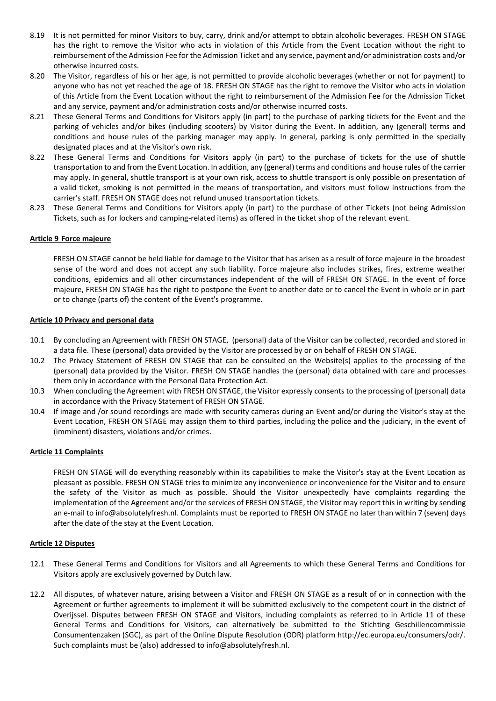- 8.19 It is not permitted for minor Visitors to buy, carry, drink and/or attempt to obtain alcoholic beverages. FRESH ON STAGE has the right to remove the Visitor who acts in violation of this Article from the Event Location without the right to reimbursement of the Admission Fee for the Admission Ticket and any service, payment and/or administration costs and/or otherwise incurred costs.
- 8.20 The Visitor, regardless of his or her age, is not permitted to provide alcoholic beverages (whether or not for payment) to anyone who has not yet reached the age of 18. FRESH ON STAGE has the right to remove the Visitor who acts in violation of this Article from the Event Location without the right to reimbursement of the Admission Fee for the Admission Ticket and any service, payment and/or administration costs and/or otherwise incurred costs.
- 8.21 These General Terms and Conditions for Visitors apply (in part) to the purchase of parking tickets for the Event and the parking of vehicles and/or bikes (including scooters) by Visitor during the Event. In addition, any (general) terms and conditions and house rules of the parking manager may apply. In general, parking is only permitted in the specially designated places and at the Visitor's own risk.
- 8.22 These General Terms and Conditions for Visitors apply (in part) to the purchase of tickets for the use of shuttle transportation to and from the Event Location. In addition, any (general) terms and conditions and house rules of the carrier may apply. In general, shuttle transport is at your own risk, access to shuttle transport is only possible on presentation of a valid ticket, smoking is not permitted in the means of transportation, and visitors must follow instructions from the carrier's staff. FRESH ON STAGE does not refund unused transportation tickets.
- 8.23 These General Terms and Conditions for Visitors apply (in part) to the purchase of other Tickets (not being Admission Tickets, such as for lockers and camping-related items) as offered in the ticket shop of the relevant event.

### **Article 9 Force majeure**

FRESH ON STAGE cannot be held liable for damage to the Visitor that has arisen as a result of force majeure in the broadest sense of the word and does not accept any such liability. Force majeure also includes strikes, fires, extreme weather conditions, epidemics and all other circumstances independent of the will of FRESH ON STAGE. In the event of force majeure, FRESH ON STAGE has the right to postpone the Event to another date or to cancel the Event in whole or in part or to change (parts of) the content of the Event's programme.

### **Article 10 Privacy and personal data**

- 10.1 By concluding an Agreement with FRESH ON STAGE, (personal) data of the Visitor can be collected, recorded and stored in a data file. These (personal) data provided by the Visitor are processed by or on behalf of FRESH ON STAGE.
- 10.2 The Privacy Statement of FRESH ON STAGE that can be consulted on the Website(s) applies to the processing of the (personal) data provided by the Visitor. FRESH ON STAGE handles the (personal) data obtained with care and processes them only in accordance with the Personal Data Protection Act.
- 10.3 When concluding the Agreement with FRESH ON STAGE, the Visitor expressly consents to the processing of (personal) data in accordance with the Privacy Statement of FRESH ON STAGE.
- 10.4 If image and /or sound recordings are made with security cameras during an Event and/or during the Visitor's stay at the Event Location, FRESH ON STAGE may assign them to third parties, including the police and the judiciary, in the event of (imminent) disasters, violations and/or crimes.

### **Article 11 Complaints**

FRESH ON STAGE will do everything reasonably within its capabilities to make the Visitor's stay at the Event Location as pleasant as possible. FRESH ON STAGE tries to minimize any inconvenience or inconvenience for the Visitor and to ensure the safety of the Visitor as much as possible. Should the Visitor unexpectedly have complaints regarding the implementation of the Agreement and/or the services of FRESH ON STAGE, the Visitor may report this in writing by sending an e-mail to info@absolutelyfresh.nl. Complaints must be reported to FRESH ON STAGE no later than within 7 (seven) days after the date of the stay at the Event Location.

#### **Article 12 Disputes**

- 12.1 These General Terms and Conditions for Visitors and all Agreements to which these General Terms and Conditions for Visitors apply are exclusively governed by Dutch law.
- 12.2 All disputes, of whatever nature, arising between a Visitor and FRESH ON STAGE as a result of or in connection with the Agreement or further agreements to implement it will be submitted exclusively to the competent court in the district of Overijssel. Disputes between FRESH ON STAGE and Visitors, including complaints as referred to in Article 11 of these General Terms and Conditions for Visitors, can alternatively be submitted to the Stichting Geschillencommissie Consumentenzaken (SGC), as part of the Online Dispute Resolution (ODR) platform http://ec.europa.eu/consumers/odr/. Such complaints must be (also) addressed to info@absolutelyfresh.nl.